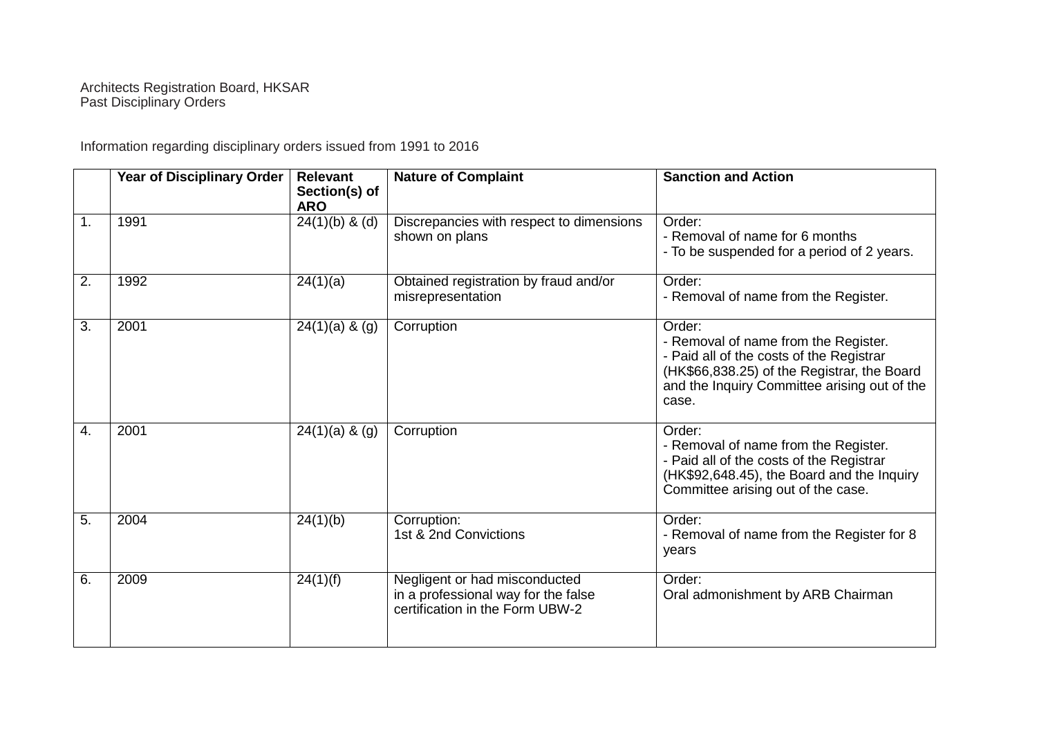## Architects Registration Board, HKSAR Past Disciplinary Orders

Information regarding disciplinary orders issued from 1991 to 2016

|                  | Year of Disciplinary Order | <b>Relevant</b><br>Section(s) of<br><b>ARO</b> | <b>Nature of Complaint</b>                                                                              | <b>Sanction and Action</b>                                                                                                                                                                         |
|------------------|----------------------------|------------------------------------------------|---------------------------------------------------------------------------------------------------------|----------------------------------------------------------------------------------------------------------------------------------------------------------------------------------------------------|
| 1.               | 1991                       | $24(1)(b)$ & (d)                               | Discrepancies with respect to dimensions<br>shown on plans                                              | Order:<br>- Removal of name for 6 months<br>- To be suspended for a period of 2 years.                                                                                                             |
| 2.               | 1992                       | 24(1)(a)                                       | Obtained registration by fraud and/or<br>misrepresentation                                              | Order:<br>- Removal of name from the Register.                                                                                                                                                     |
| $\overline{3}$ . | 2001                       | $24(1)(a)$ & $(g)$                             | Corruption                                                                                              | Order:<br>- Removal of name from the Register.<br>- Paid all of the costs of the Registrar<br>(HK\$66,838.25) of the Registrar, the Board<br>and the Inquiry Committee arising out of the<br>case. |
| 4.               | 2001                       | $24(1)(a)$ & $(g)$                             | Corruption                                                                                              | Order:<br>- Removal of name from the Register.<br>- Paid all of the costs of the Registrar<br>(HK\$92,648.45), the Board and the Inquiry<br>Committee arising out of the case.                     |
| 5.               | 2004                       | 24(1)(b)                                       | Corruption:<br>1st & 2nd Convictions                                                                    | Order:<br>- Removal of name from the Register for 8<br>years                                                                                                                                       |
| 6.               | 2009                       | 24(1)(f)                                       | Negligent or had misconducted<br>in a professional way for the false<br>certification in the Form UBW-2 | Order:<br>Oral admonishment by ARB Chairman                                                                                                                                                        |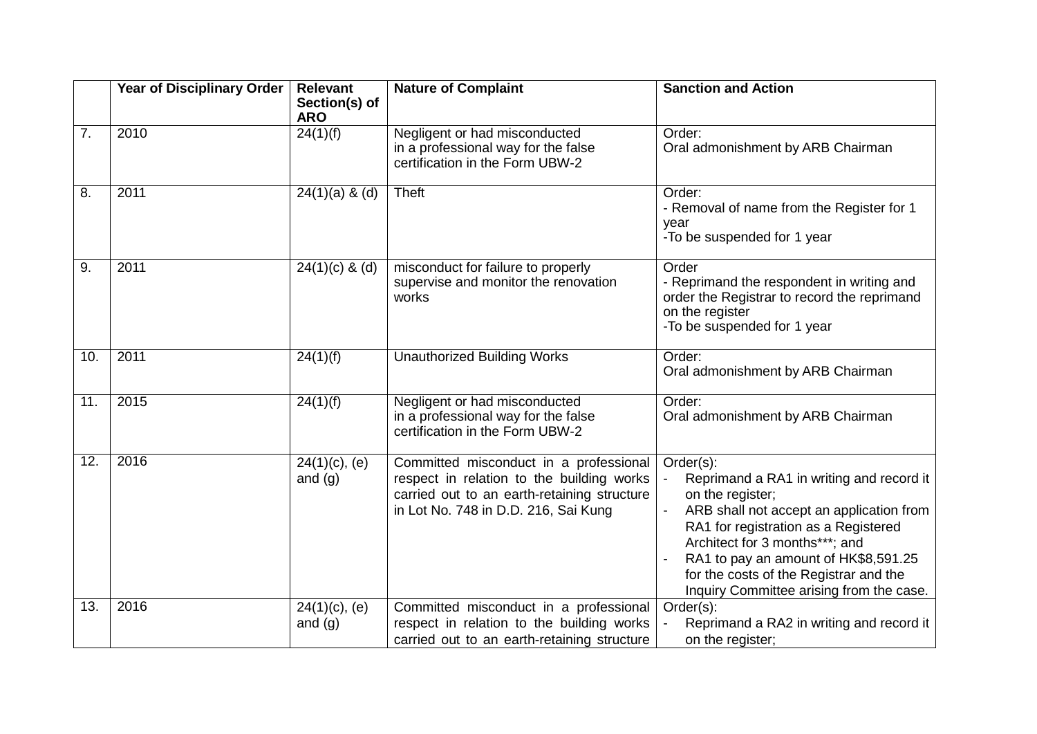|                   | Year of Disciplinary Order | <b>Relevant</b><br>Section(s) of<br><b>ARO</b> | <b>Nature of Complaint</b>                                                                                                                                                 | <b>Sanction and Action</b>                                                                                                                                                                                                                                                                                                    |
|-------------------|----------------------------|------------------------------------------------|----------------------------------------------------------------------------------------------------------------------------------------------------------------------------|-------------------------------------------------------------------------------------------------------------------------------------------------------------------------------------------------------------------------------------------------------------------------------------------------------------------------------|
| 7.                | 2010                       | 24(1)(f)                                       | Negligent or had misconducted<br>in a professional way for the false<br>certification in the Form UBW-2                                                                    | Order:<br>Oral admonishment by ARB Chairman                                                                                                                                                                                                                                                                                   |
| 8.                | 2011                       | $24(1)(a)$ & (d)                               | Theft                                                                                                                                                                      | Order:<br>- Removal of name from the Register for 1<br>year<br>-To be suspended for 1 year                                                                                                                                                                                                                                    |
| 9.                | 2011                       | $24(1)(c)$ & (d)                               | misconduct for failure to properly<br>supervise and monitor the renovation<br>works                                                                                        | Order<br>- Reprimand the respondent in writing and<br>order the Registrar to record the reprimand<br>on the register<br>-To be suspended for 1 year                                                                                                                                                                           |
| 10.               | 2011                       | 24(1)(f)                                       | <b>Unauthorized Building Works</b>                                                                                                                                         | Order:<br>Oral admonishment by ARB Chairman                                                                                                                                                                                                                                                                                   |
| 11.               | 2015                       | 24(1)(f)                                       | Negligent or had misconducted<br>in a professional way for the false<br>certification in the Form UBW-2                                                                    | Order:<br>Oral admonishment by ARB Chairman                                                                                                                                                                                                                                                                                   |
| $\overline{12}$ . | 2016                       | $24(1)(c)$ , (e)<br>and $(g)$                  | Committed misconduct in a professional<br>respect in relation to the building works<br>carried out to an earth-retaining structure<br>in Lot No. 748 in D.D. 216, Sai Kung | Order(s):<br>Reprimand a RA1 in writing and record it<br>on the register;<br>ARB shall not accept an application from<br>RA1 for registration as a Registered<br>Architect for 3 months***; and<br>RA1 to pay an amount of HK\$8,591.25<br>for the costs of the Registrar and the<br>Inquiry Committee arising from the case. |
| 13.               | 2016                       | $24(1)(c)$ , (e)<br>and $(g)$                  | Committed misconduct in a professional<br>respect in relation to the building works<br>carried out to an earth-retaining structure                                         | Order(s):<br>Reprimand a RA2 in writing and record it<br>on the register;                                                                                                                                                                                                                                                     |